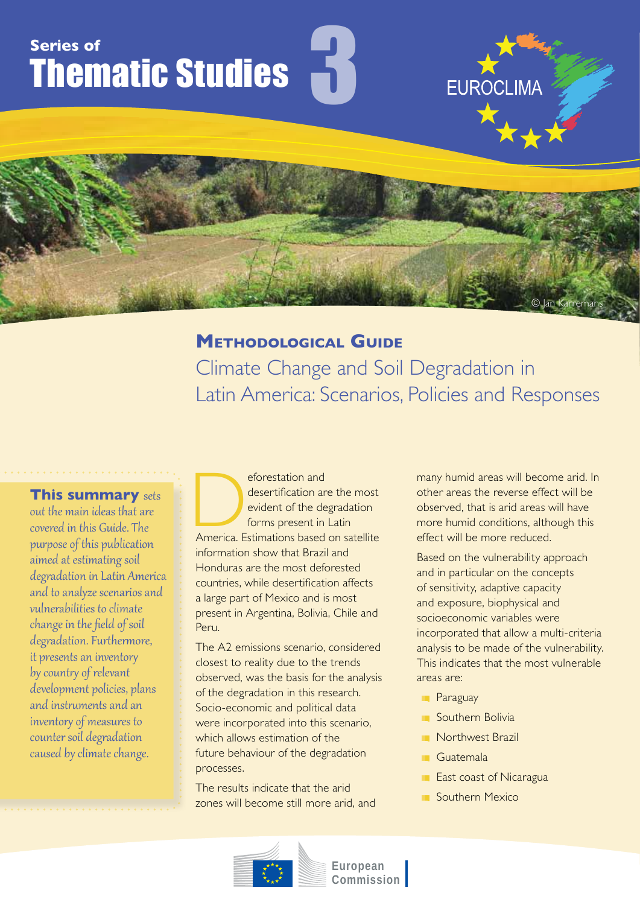# **Series of** Thematic Studies

## **Methodological Guide**

3

Climate Change and Soil Degradation in Latin America: Scenarios, Policies and Responses

**This summary** sets out the main ideas that are covered in this Guide. The purpose of this publication aimed at estimating soil degradation in Latin America and to analyze scenarios and vulnerabilities to climate change in the field of soil degradation. Furthermore, it presents an inventory by country of relevant development policies, plans and instruments and an inventory of measures to counter soil degradation caused by climate change.

eforestation and<br>
desertification are the most<br>
evident of the degradation<br>
forms present in Latin<br>
America. Estimations based on satellite desertification are the most evident of the degradation forms present in Latin information show that Brazil and Honduras are the most deforested countries, while desertification affects a large part of Mexico and is most present in Argentina, Bolivia, Chile and Peru.

The A2 emissions scenario, considered closest to reality due to the trends observed, was the basis for the analysis of the degradation in this research. Socio-economic and political data were incorporated into this scenario, which allows estimation of the future behaviour of the degradation processes.

The results indicate that the arid zones will become still more arid, and many humid areas will become arid. In other areas the reverse effect will be observed, that is arid areas will have more humid conditions, although this effect will be more reduced.

**EUROCLIMA** 

© Jan Karremans

Based on the vulnerability approach and in particular on the concepts of sensitivity, adaptive capacity and exposure, biophysical and socioeconomic variables were incorporated that allow a multi-criteria analysis to be made of the vulnerability. This indicates that the most vulnerable areas are:

- **Paraguay**
- **Southern Bolivia**
- Northwest Brazil
- **Guatemala**
- **East coast of Nicaragua**
- Southern Mexico